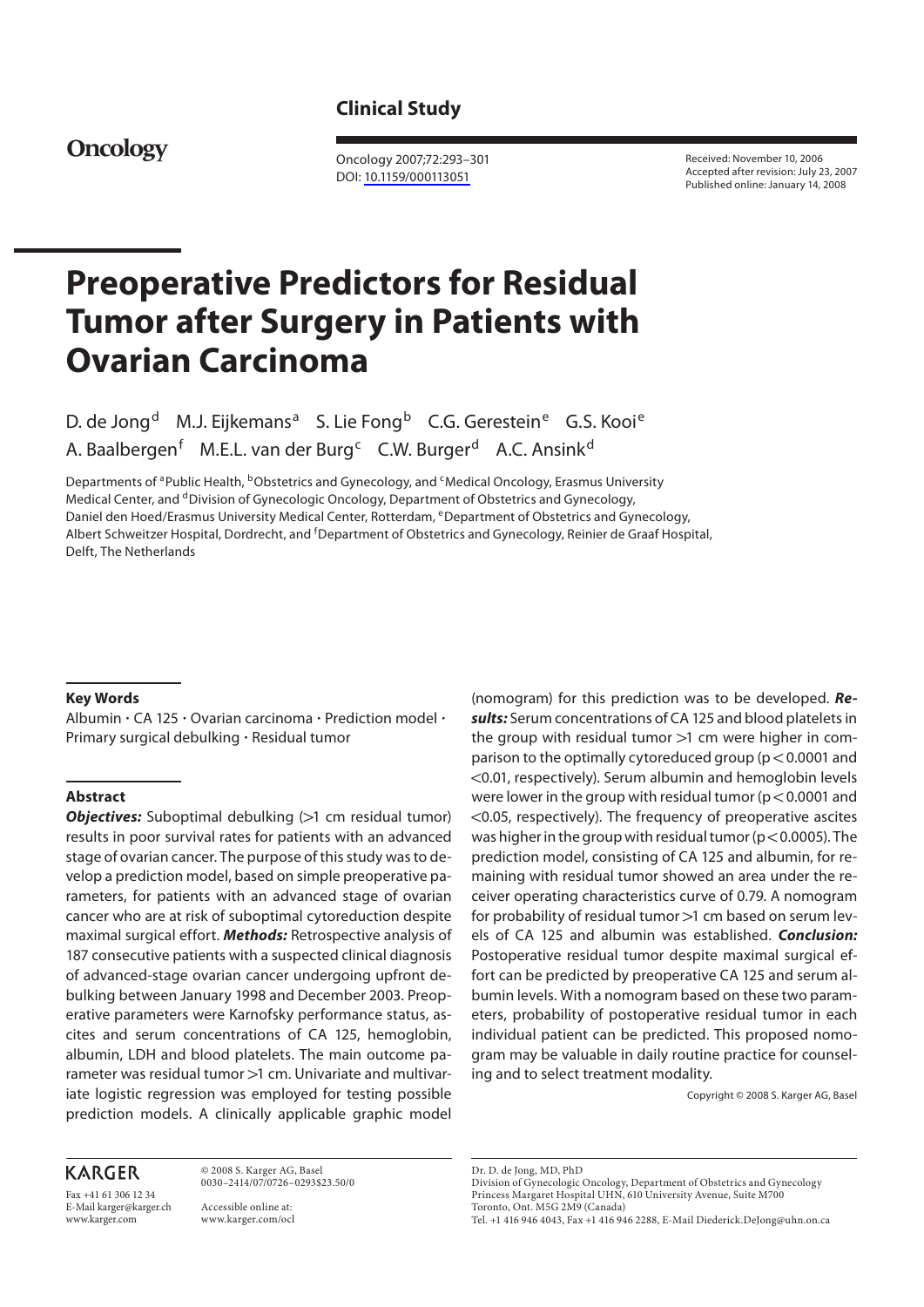# **Clinical Study**

# **Oncology**

 Oncology 2007;72:293–301 DOI: [10.1159/000113051](http://dx.doi.org/10.1159%2F000113051)

 Received: November 10, 2006 Accepted after revision: July 23, 2007 Published online: January 14, 2008

# **Preoperative Predictors for Residual Tumor after Surgery in Patients with Ovarian Carcinoma**

D. de Jong<sup>d</sup> M.J. Eijkemans<sup>a</sup> S. Lie Fong<sup>b</sup> C.G. Gerestein<sup>e</sup> G.S. Kooi<sup>e</sup> A. Baalbergen<sup>f</sup> M.E.L. van der Burg<sup>c</sup> C.W. Burger<sup>d</sup> A.C. Ansink<sup>d</sup>

Departments of <sup>a</sup> Public Health, <sup>b</sup>Obstetrics and Gynecology, and <sup>c</sup> Medical Oncology, Erasmus University Medical Center, and <sup>d</sup> Division of Gynecologic Oncology, Department of Obstetrics and Gynecology, Daniel den Hoed/Erasmus University Medical Center, Rotterdam, eDepartment of Obstetrics and Gynecology, Albert Schweitzer Hospital, Dordrecht, and <sup>f</sup>Department of Obstetrics and Gynecology, Reinier de Graaf Hospital, Delft, The Netherlands

#### **Key Words**

Albumin · CA 125 · Ovarian carcinoma · Prediction model · Primary surgical debulking · Residual tumor

#### **Abstract**

**Objectives:** Suboptimal debulking (>1 cm residual tumor) results in poor survival rates for patients with an advanced stage of ovarian cancer. The purpose of this study was to develop a prediction model, based on simple preoperative parameters, for patients with an advanced stage of ovarian cancer who are at risk of suboptimal cytoreduction despite maximal surgical effort. *Methods:* Retrospective analysis of 187 consecutive patients with a suspected clinical diagnosis of advanced-stage ovarian cancer undergoing upfront debulking between January 1998 and December 2003. Preoperative parameters were Karnofsky performance status, ascites and serum concentrations of CA 125, hemoglobin, albumin, LDH and blood platelets. The main outcome parameter was residual tumor >1 cm. Univariate and multivariate logistic regression was employed for testing possible prediction models. A clinically applicable graphic model

## **KARGER**

Fax +41 61 306 12 34 E-Mail karger@karger.ch www.karger.com

 © 2008 S. Karger AG, Basel 0030–2414/07/0726–0293\$23.50/0 Accessible online at:

www.karger.com/ocl

(nomogram) for this prediction was to be developed. *Results:* Serum concentrations of CA 125 and blood platelets in the group with residual tumor  $>1$  cm were higher in comparison to the optimally cytoreduced group ( $p < 0.0001$  and ! 0.01, respectively). Serum albumin and hemoglobin levels were lower in the group with residual tumor ( $p < 0.0001$  and  $<$  0.05, respectively). The frequency of preoperative ascites was higher in the group with residual tumor ( $p < 0.0005$ ). The prediction model, consisting of CA 125 and albumin, for remaining with residual tumor showed an area under the receiver operating characteristics curve of 0.79. A nomogram for probability of residual tumor >1 cm based on serum levels of CA 125 and albumin was established. *Conclusion:* Postoperative residual tumor despite maximal surgical effort can be predicted by preoperative CA 125 and serum albumin levels. With a nomogram based on these two parameters, probability of postoperative residual tumor in each individual patient can be predicted. This proposed nomogram may be valuable in daily routine practice for counseling and to select treatment modality.

Copyright © 2008 S. Karger AG, Basel

Dr. D. de Jong, MD, PhD

Division of Gynecologic Oncology, Department of Obstetrics and Gynecology Princess Margaret Hospital UHN, 610 University Avenue, Suite M700 Toronto, Ont. M5G 2M9 (Canada)

Tel. +1 416 946 4043, Fax +1 416 946 2288, E-Mail Diederick.DeJong@uhn.on.ca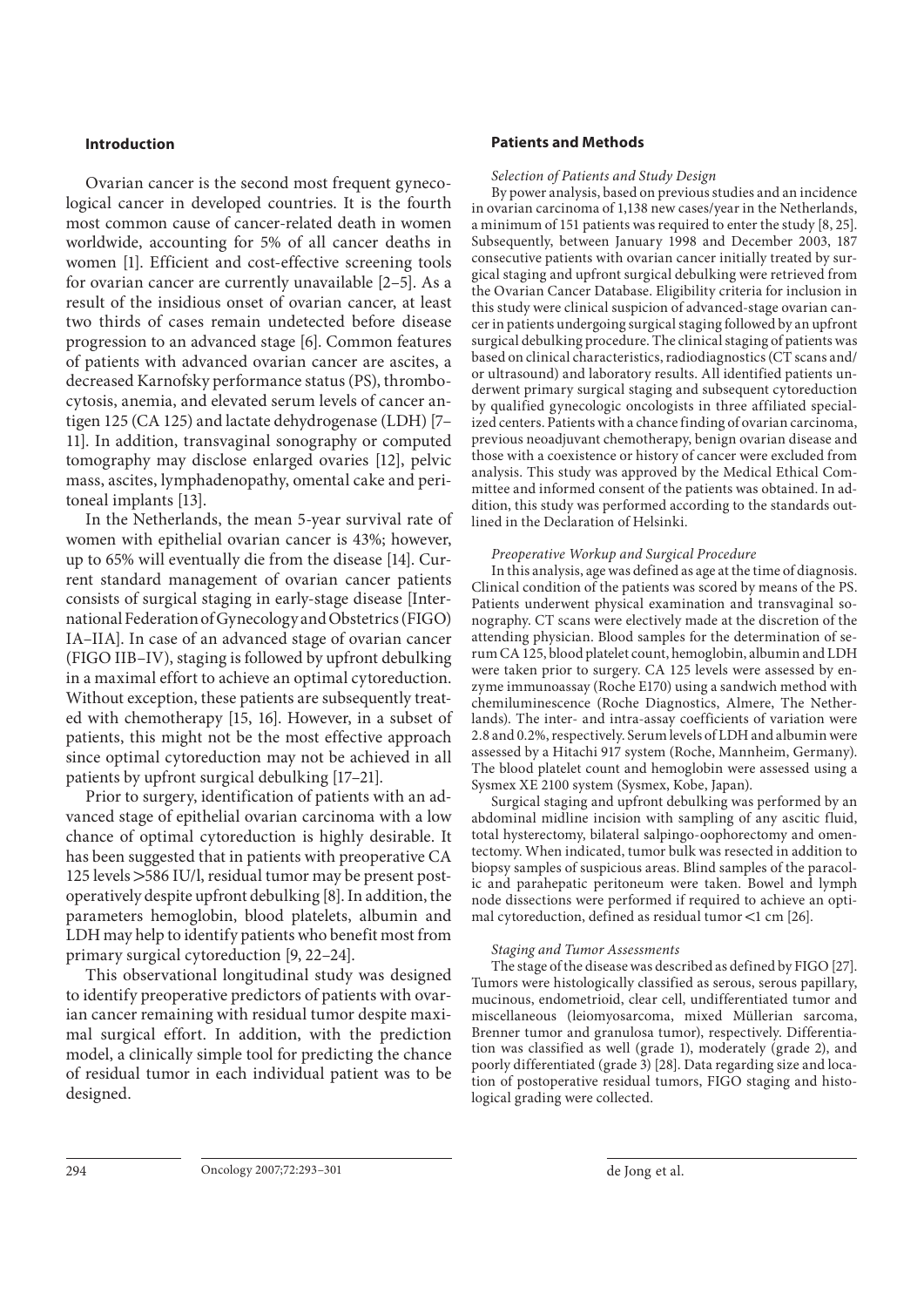#### **Introduction**

 Ovarian cancer is the second most frequent gynecological cancer in developed countries. It is the fourth most common cause of cancer-related death in women worldwide, accounting for 5% of all cancer deaths in women [1]. Efficient and cost-effective screening tools for ovarian cancer are currently unavailable [2–5] . As a result of the insidious onset of ovarian cancer, at least two thirds of cases remain undetected before disease progression to an advanced stage [6]. Common features of patients with advanced ovarian cancer are ascites, a decreased Karnofsky performance status (PS), thrombocytosis, anemia, and elevated serum levels of cancer antigen 125 (CA 125) and lactate dehydrogenase (LDH) [7– 11]. In addition, transvaginal sonography or computed tomography may disclose enlarged ovaries [12], pelvic mass, ascites, lymphadenopathy, omental cake and peritoneal implants [13].

 In the Netherlands, the mean 5-year survival rate of women with epithelial ovarian cancer is 43%; however, up to 65% will eventually die from the disease [14] . Current standard management of ovarian cancer patients consists of surgical staging in early-stage disease [International Federation of Gynecology and Obstetrics (FIGO) IA–IIA]. In case of an advanced stage of ovarian cancer (FIGO IIB–IV), staging is followed by upfront debulking in a maximal effort to achieve an optimal cytoreduction. Without exception, these patients are subsequently treated with chemotherapy [15, 16]. However, in a subset of patients, this might not be the most effective approach since optimal cytoreduction may not be achieved in all patients by upfront surgical debulking [17–21] .

 Prior to surgery, identification of patients with an advanced stage of epithelial ovarian carcinoma with a low chance of optimal cytoreduction is highly desirable. It has been suggested that in patients with preoperative CA 125 levels > 586 IU/l, residual tumor may be present postoperatively despite upfront debulking [8] . In addition, the parameters hemoglobin, blood platelets, albumin and LDH may help to identify patients who benefit most from primary surgical cytoreduction [9, 22–24] .

 This observational longitudinal study was designed to identify preoperative predictors of patients with ovarian cancer remaining with residual tumor despite maximal surgical effort. In addition, with the prediction model, a clinically simple tool for predicting the chance of residual tumor in each individual patient was to be designed.

#### **Patients and Methods**

 *Selection of Patients and Study Design* 

 By power analysis, based on previous studies and an incidence in ovarian carcinoma of 1,138 new cases/year in the Netherlands, a minimum of 151 patients was required to enter the study [8, 25] . Subsequently, between January 1998 and December 2003, 187 consecutive patients with ovarian cancer initially treated by surgical staging and upfront surgical debulking were retrieved from the Ovarian Cancer Database. Eligibility criteria for inclusion in this study were clinical suspicion of advanced-stage ovarian cancer in patients undergoing surgical staging followed by an upfront surgical debulking procedure. The clinical staging of patients was based on clinical characteristics, radiodiagnostics (CT scans and/ or ultrasound) and laboratory results. All identified patients underwent primary surgical staging and subsequent cytoreduction by qualified gynecologic oncologists in three affiliated specialized centers. Patients with a chance finding of ovarian carcinoma, previous neoadjuvant chemotherapy, benign ovarian disease and those with a coexistence or history of cancer were excluded from analysis. This study was approved by the Medical Ethical Committee and informed consent of the patients was obtained. In addition, this study was performed according to the standards outlined in the Declaration of Helsinki.

#### *Preoperative Workup and Surgical Procedure*

 In this analysis, age was defined as age at the time of diagnosis. Clinical condition of the patients was scored by means of the PS. Patients underwent physical examination and transvaginal sonography. CT scans were electively made at the discretion of the attending physician. Blood samples for the determination of serum CA 125, blood platelet count, hemoglobin, albumin and LDH were taken prior to surgery. CA 125 levels were assessed by enzyme immunoassay (Roche E170) using a sandwich method with chemiluminescence (Roche Diagnostics, Almere, The Netherlands). The inter- and intra-assay coefficients of variation were 2.8 and 0.2%, respectively. Serum levels of LDH and albumin were assessed by a Hitachi 917 system (Roche, Mannheim, Germany). The blood platelet count and hemoglobin were assessed using a Sysmex XE 2100 system (Sysmex, Kobe, Japan).

 Surgical staging and upfront debulking was performed by an abdominal midline incision with sampling of any ascitic fluid, total hysterectomy, bilateral salpingo-oophorectomy and omentectomy. When indicated, tumor bulk was resected in addition to biopsy samples of suspicious areas. Blind samples of the paracolic and parahepatic peritoneum were taken. Bowel and lymph node dissections were performed if required to achieve an optimal cytoreduction, defined as residual tumor  $\lt 1$  cm [26].

#### *Staging and Tumor Assessments*

 The stage of the disease was described as defined by FIGO [27] . Tumors were histologically classified as serous, serous papillary, mucinous, endometrioid, clear cell, undifferentiated tumor and miscellaneous (leiomyosarcoma, mixed Müllerian sarcoma, Brenner tumor and granulosa tumor), respectively. Differentiation was classified as well (grade 1), moderately (grade 2), and poorly differentiated (grade 3) [28]. Data regarding size and location of postoperative residual tumors, FIGO staging and histological grading were collected.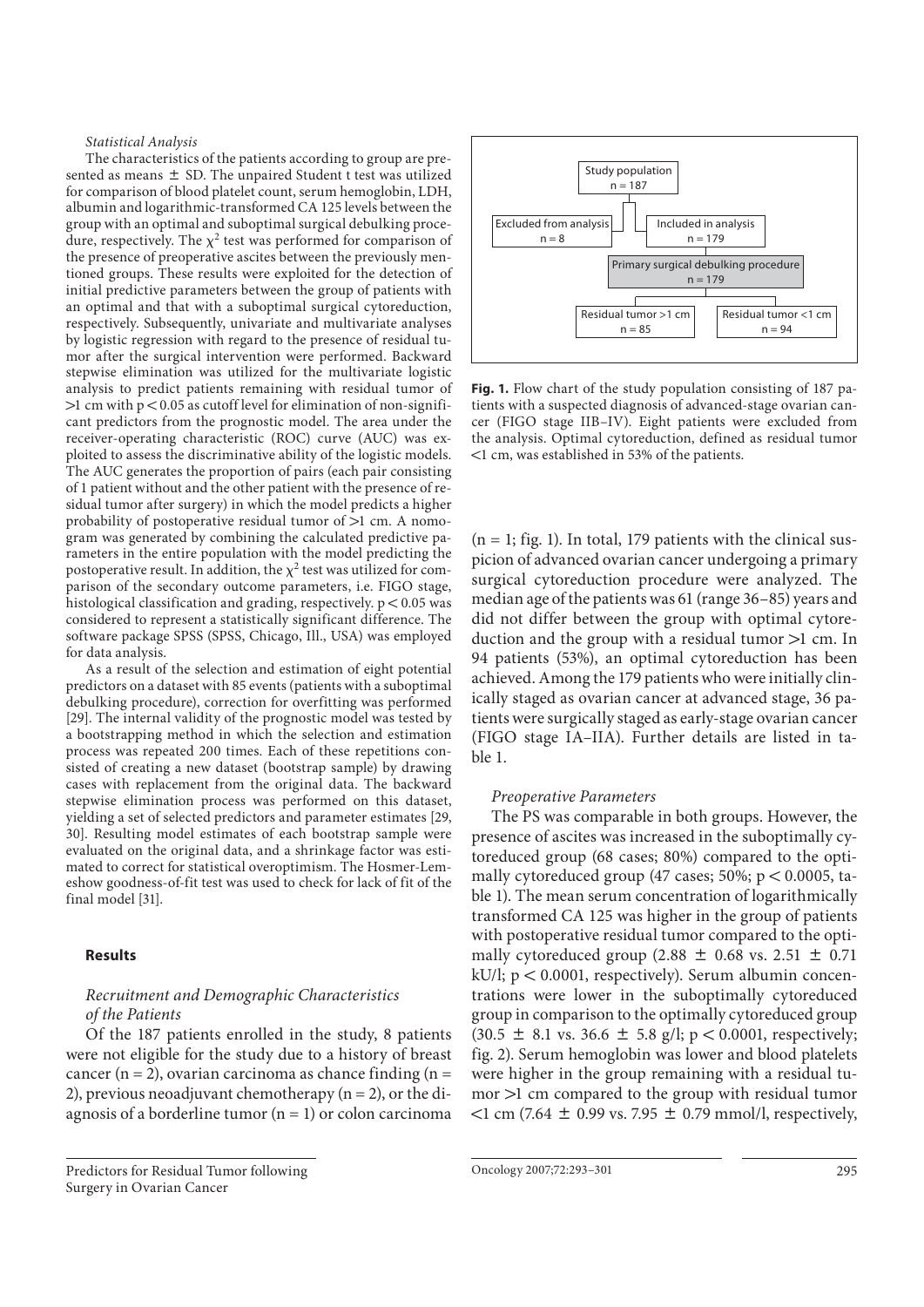#### *Statistical Analysis*

 The characteristics of the patients according to group are presented as means  $\pm$  SD. The unpaired Student t test was utilized for comparison of blood platelet count, serum hemoglobin, LDH, albumin and logarithmic-transformed CA 125 levels between the group with an optimal and suboptimal surgical debulking procedure, respectively. The  $\chi^2$  test was performed for comparison of the presence of preoperative ascites between the previously mentioned groups. These results were exploited for the detection of initial predictive parameters between the group of patients with an optimal and that with a suboptimal surgical cytoreduction, respectively. Subsequently, univariate and multivariate analyses by logistic regression with regard to the presence of residual tumor after the surgical intervention were performed. Backward stepwise elimination was utilized for the multivariate logistic analysis to predict patients remaining with residual tumor of  $>1$  cm with  $p < 0.05$  as cutoff level for elimination of non-significant predictors from the prognostic model. The area under the receiver-operating characteristic (ROC) curve (AUC) was exploited to assess the discriminative ability of the logistic models. The AUC generates the proportion of pairs (each pair consisting of 1 patient without and the other patient with the presence of residual tumor after surgery) in which the model predicts a higher probability of postoperative residual tumor of  $>1$  cm. A nomogram was generated by combining the calculated predictive parameters in the entire population with the model predicting the postoperative result. In addition, the  $\chi^2$  test was utilized for comparison of the secondary outcome parameters, i.e. FIGO stage, histological classification and grading, respectively.  $p < 0.05$  was considered to represent a statistically significant difference. The software package SPSS (SPSS, Chicago, Ill., USA) was employed for data analysis.

 As a result of the selection and estimation of eight potential predictors on a dataset with 85 events (patients with a suboptimal debulking procedure), correction for overfitting was performed [29]. The internal validity of the prognostic model was tested by a bootstrapping method in which the selection and estimation process was repeated 200 times. Each of these repetitions consisted of creating a new dataset (bootstrap sample) by drawing cases with replacement from the original data. The backward stepwise elimination process was performed on this dataset, yielding a set of selected predictors and parameter estimates [29, 30]. Resulting model estimates of each bootstrap sample were evaluated on the original data, and a shrinkage factor was estimated to correct for statistical overoptimism. The Hosmer-Lemeshow goodness-of-fit test was used to check for lack of fit of the final model [31].

#### **Results**

### *Recruitment and Demographic Characteristics of the Patients*

 Of the 187 patients enrolled in the study, 8 patients were not eligible for the study due to a history of breast cancer (n = 2), ovarian carcinoma as chance finding (n = 2), previous neoadjuvant chemotherapy  $(n = 2)$ , or the diagnosis of a borderline tumor  $(n = 1)$  or colon carcinoma





**Fig. 1.** Flow chart of the study population consisting of 187 patients with a suspected diagnosis of advanced-stage ovarian cancer (FIGO stage IIB–IV). Eight patients were excluded from the analysis. Optimal cytoreduction, defined as residual tumor ! 1 cm, was established in 53% of the patients.

 $(n = 1;$  fig. 1). In total, 179 patients with the clinical suspicion of advanced ovarian cancer undergoing a primary surgical cytoreduction procedure were analyzed. The median age of the patients was 61 (range 36–85) years and did not differ between the group with optimal cytoreduction and the group with a residual tumor  $>1$  cm. In 94 patients (53%), an optimal cytoreduction has been achieved. Among the 179 patients who were initially clinically staged as ovarian cancer at advanced stage, 36 patients were surgically staged as early-stage ovarian cancer (FIGO stage IA–IIA). Further details are listed in table 1.

#### *Preoperative Parameters*

 The PS was comparable in both groups. However, the presence of ascites was increased in the suboptimally cytoreduced group (68 cases; 80%) compared to the optimally cytoreduced group (47 cases;  $50\%$ ;  $p < 0.0005$ , table 1). The mean serum concentration of logarithmically transformed CA 125 was higher in the group of patients with postoperative residual tumor compared to the optimally cytoreduced group (2.88  $\pm$  0.68 vs. 2.51  $\pm$  0.71  $kU/l$ ;  $p < 0.0001$ , respectively). Serum albumin concentrations were lower in the suboptimally cytoreduced group in comparison to the optimally cytoreduced group  $(30.5 \pm 8.1 \text{ vs. } 36.6 \pm 5.8 \text{ g/l}; p < 0.0001, \text{ respectively};$ fig. 2). Serum hemoglobin was lower and blood platelets were higher in the group remaining with a residual tu $mor$   $>1$  cm compared to the group with residual tumor  $\leq 1$  cm (7.64  $\pm$  0.99 vs. 7.95  $\pm$  0.79 mmol/l, respectively,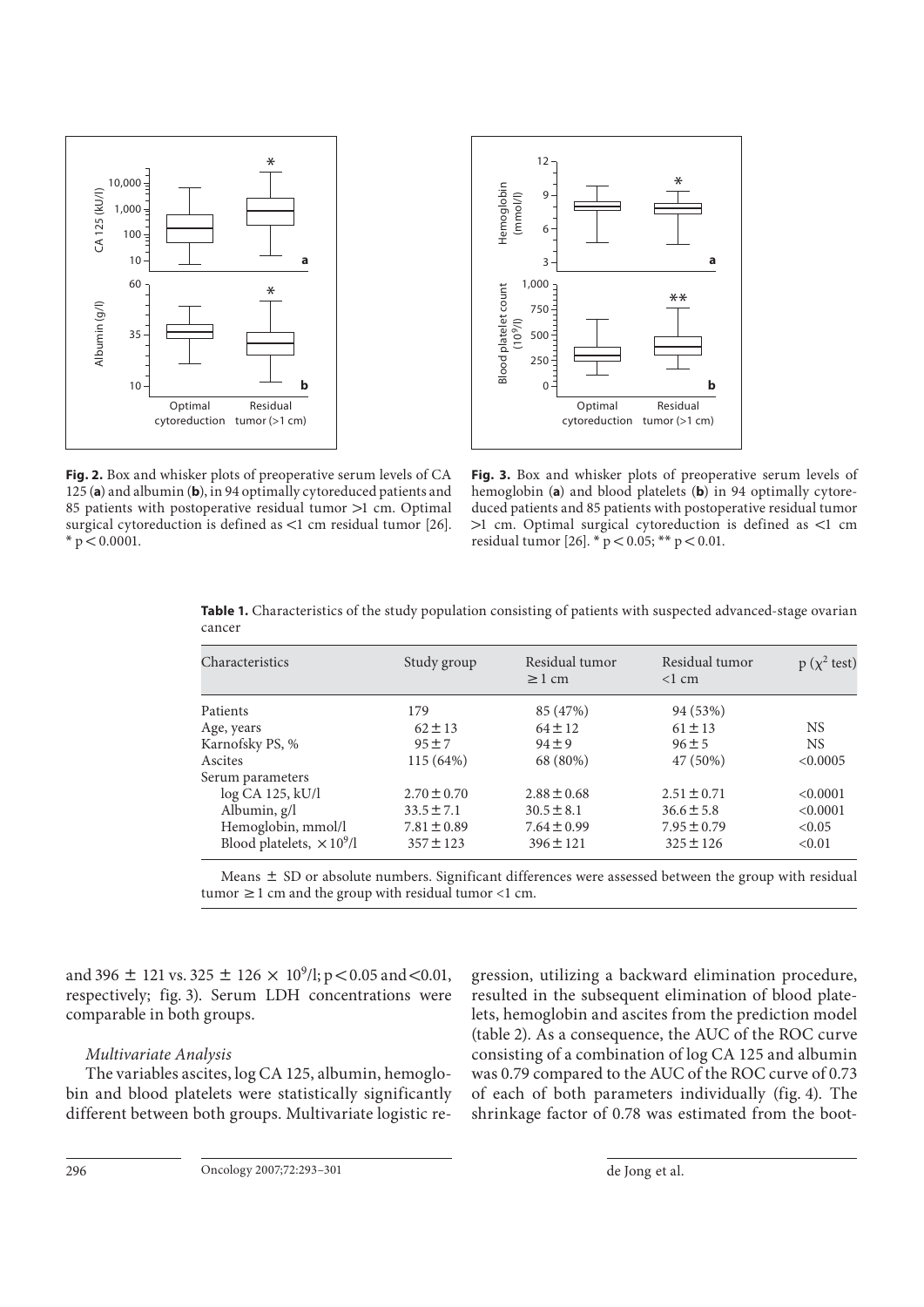



**Fig. 2.** Box and whisker plots of preoperative serum levels of CA 125 (a) and albumin (b), in 94 optimally cytoreduced patients and 85 patients with postoperative residual tumor  $>1$  cm. Optimal surgical cytoreduction is defined as  $\lt 1$  cm residual tumor [26].  $* p < 0.0001.$ 

**Fig. 3.** Box and whisker plots of preoperative serum levels of hemoglobin (a) and blood platelets (b) in 94 optimally cytoreduced patients and 85 patients with postoperative residual tumor  $>1$  cm. Optimal surgical cytoreduction is defined as <1 cm residual tumor [26].  $* p < 0.05$ ; \*\*  $p < 0.01$ .

| Characteristics                  | Study group     | Residual tumor<br>$\geq 1$ cm | Residual tumor<br>$<1$ cm | $p(x^2$ test) |
|----------------------------------|-----------------|-------------------------------|---------------------------|---------------|
| Patients                         | 179             | 85 (47%)                      | 94 (53%)                  |               |
| Age, years                       | $62 \pm 13$     | $64 \pm 12$                   | $61 \pm 13$               | <b>NS</b>     |
| Karnofsky PS, %                  | $95 + 7$        | $94 \pm 9$                    | $96 \pm 5$                | <b>NS</b>     |
| Ascites                          | 115 (64%)       | 68 (80%)                      | 47 (50%)                  | < 0.0005      |
| Serum parameters                 |                 |                               |                           |               |
| log CA 125, kU/l                 | $2.70 \pm 0.70$ | $2.88 \pm 0.68$               | $2.51 \pm 0.71$           | < 0.0001      |
| Albumin, g/l                     | $33.5 \pm 7.1$  | $30.5 \pm 8.1$                | $36.6 \pm 5.8$            | < 0.0001      |
| Hemoglobin, mmol/l               | $7.81 \pm 0.89$ | $7.64 \pm 0.99$               | $7.95 \pm 0.79$           | < 0.05        |
| Blood platelets, $\times 10^9/l$ | $357 \pm 123$   | $396 \pm 121$                 | $325 \pm 126$             | < 0.01        |

**Table 1.** Characteristics of the study population consisting of patients with suspected advanced-stage ovarian cancer

Means  $\pm$  SD or absolute numbers. Significant differences were assessed between the group with residual tumor  $\geq 1$  cm and the group with residual tumor <1 cm.

and 396  $\pm$  121 vs. 325  $\pm$  126  $\times$  10<sup>9</sup>/l; p < 0.05 and < 0.01, respectively; fig. 3). Serum LDH concentrations were comparable in both groups.

#### *Multivariate Analysis*

 The variables ascites, log CA 125, albumin, hemoglobin and blood platelets were statistically significantly different between both groups. Multivariate logistic regression, utilizing a backward elimination procedure, resulted in the subsequent elimination of blood platelets, hemoglobin and ascites from the prediction model (table 2). As a consequence, the AUC of the ROC curve consisting of a combination of log CA 125 and albumin was 0.79 compared to the AUC of the ROC curve of 0.73 of each of both parameters individually (fig. 4). The shrinkage factor of 0.78 was estimated from the boot-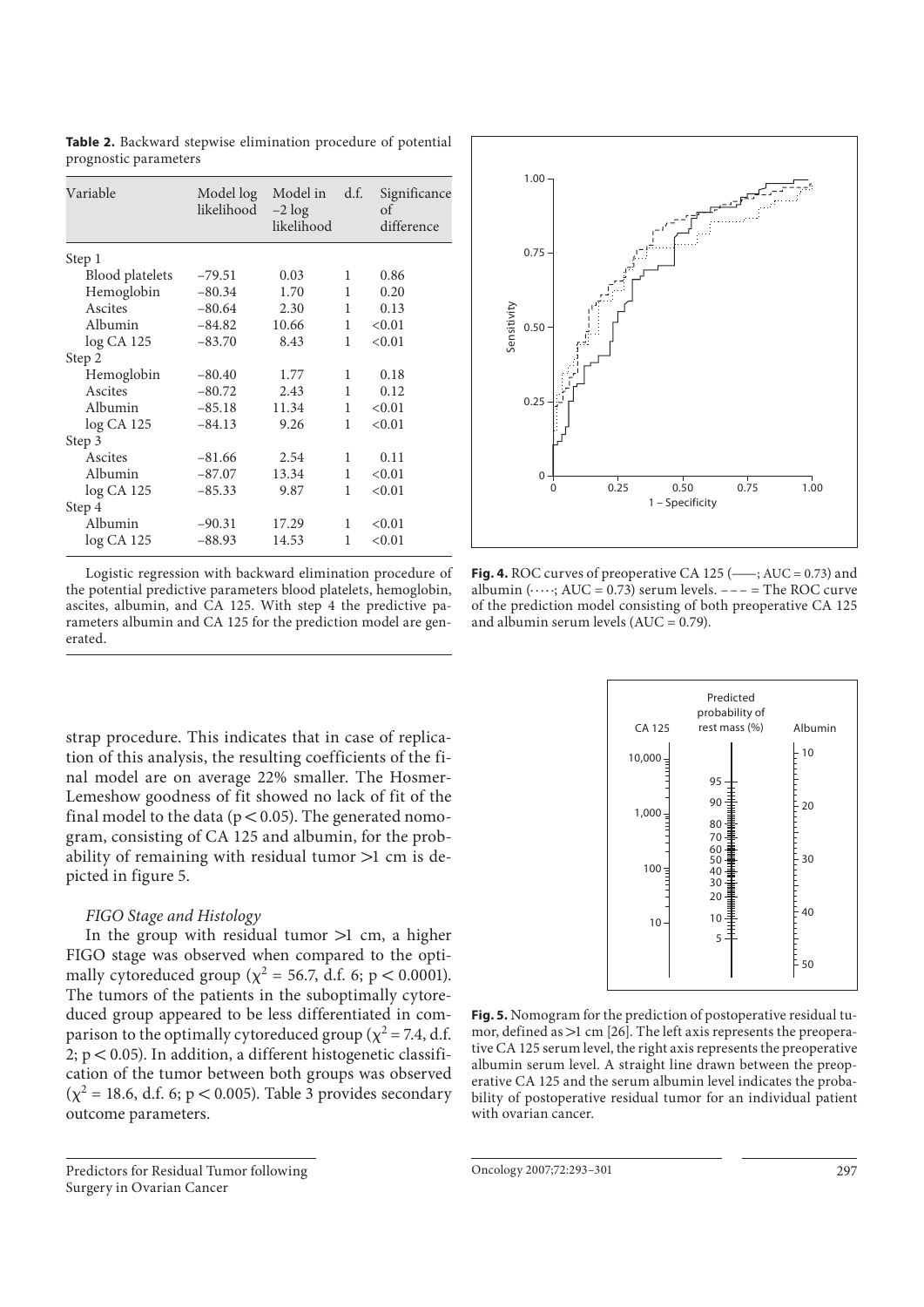| Variable        | Model log<br>likelihood | Model in<br>$-2 \log$<br>likelihood | d.f.         | Significance<br>of<br>difference |
|-----------------|-------------------------|-------------------------------------|--------------|----------------------------------|
| Step 1          |                         |                                     |              |                                  |
| Blood platelets | $-79.51$                | 0.03                                | 1            | 0.86                             |
| Hemoglobin      | $-80.34$                | 1.70                                | 1            | 0.20                             |
| Ascites         | $-80.64$                | 2.30                                | 1            | 0.13                             |
| Albumin         | $-84.82$                | 10.66                               | 1            | < 0.01                           |
| log CA 125      | $-83.70$                | 8.43                                | 1            | < 0.01                           |
| Step 2          |                         |                                     |              |                                  |
| Hemoglobin      | $-80.40$                | 1.77                                | 1            | 0.18                             |
| Ascites         | $-80.72$                | 2.43                                | 1            | 0.12                             |
| Albumin         | $-85.18$                | 11.34                               | $\mathbf{1}$ | < 0.01                           |
| $log CA$ 125    | $-84.13$                | 9.26                                | 1            | < 0.01                           |
| Step 3          |                         |                                     |              |                                  |
| Ascites         | $-81.66$                | 2.54                                | 1            | 0.11                             |
| Albumin         | $-87.07$                | 13.34                               | 1            | < 0.01                           |
| $log CA$ 125    | $-85.33$                | 9.87                                | 1            | < 0.01                           |
| Step 4          |                         |                                     |              |                                  |
| Albumin         | $-90.31$                | 17.29                               | 1            | < 0.01                           |
| $log CA$ 125    | $-88.93$                | 14.53                               | 1            | < 0.01                           |

**Table 2.** Backward stepwise elimination procedure of potential prognostic parameters

Logistic regression with backward elimination procedure of the potential predictive parameters blood platelets, hemoglobin, ascites, albumin, and CA 125. With step 4 the predictive parameters albumin and CA 125 for the prediction model are generated.

strap procedure. This indicates that in case of replication of this analysis, the resulting coefficients of the final model are on average 22% smaller. The Hosmer-Lemeshow goodness of fit showed no lack of fit of the final model to the data ( $p < 0.05$ ). The generated nomogram, consisting of CA 125 and albumin, for the probability of remaining with residual tumor  $>1$  cm is depicted in figure 5.

#### *FIGO Stage and Histology*

In the group with residual tumor  $>1$  cm, a higher FIGO stage was observed when compared to the optimally cytoreduced group ( $\chi^2$  = 56.7, d.f. 6; p < 0.0001). The tumors of the patients in the suboptimally cytoreduced group appeared to be less differentiated in comparison to the optimally cytoreduced group ( $\chi^2$  = 7.4, d.f. 2;  $p < 0.05$ ). In addition, a different histogenetic classification of the tumor between both groups was observed  $(\chi^2 = 18.6, d.f. 6; p < 0.005)$ . Table 3 provides secondary outcome parameters.

 Predictors for Residual Tumor following Surgery in Ovarian Cancer



**Fig. 4.** ROC curves of preoperative CA 125  $(\_\_\right)$ ; AUC = 0.73) and albumin ( $\cdots$ ; AUC = 0.73) serum levels. --- = The ROC curve of the prediction model consisting of both preoperative CA 125 and albumin serum levels  $(AUC = 0.79)$ .



**Fig. 5.** Nomogram for the prediction of postoperative residual tumor, defined as  $>1$  cm [26]. The left axis represents the preoperative CA 125 serum level, the right axis represents the preoperative albumin serum level. A straight line drawn between the preoperative CA 125 and the serum albumin level indicates the probability of postoperative residual tumor for an individual patient with ovarian cancer.

Oncology 2007;72:293–301 297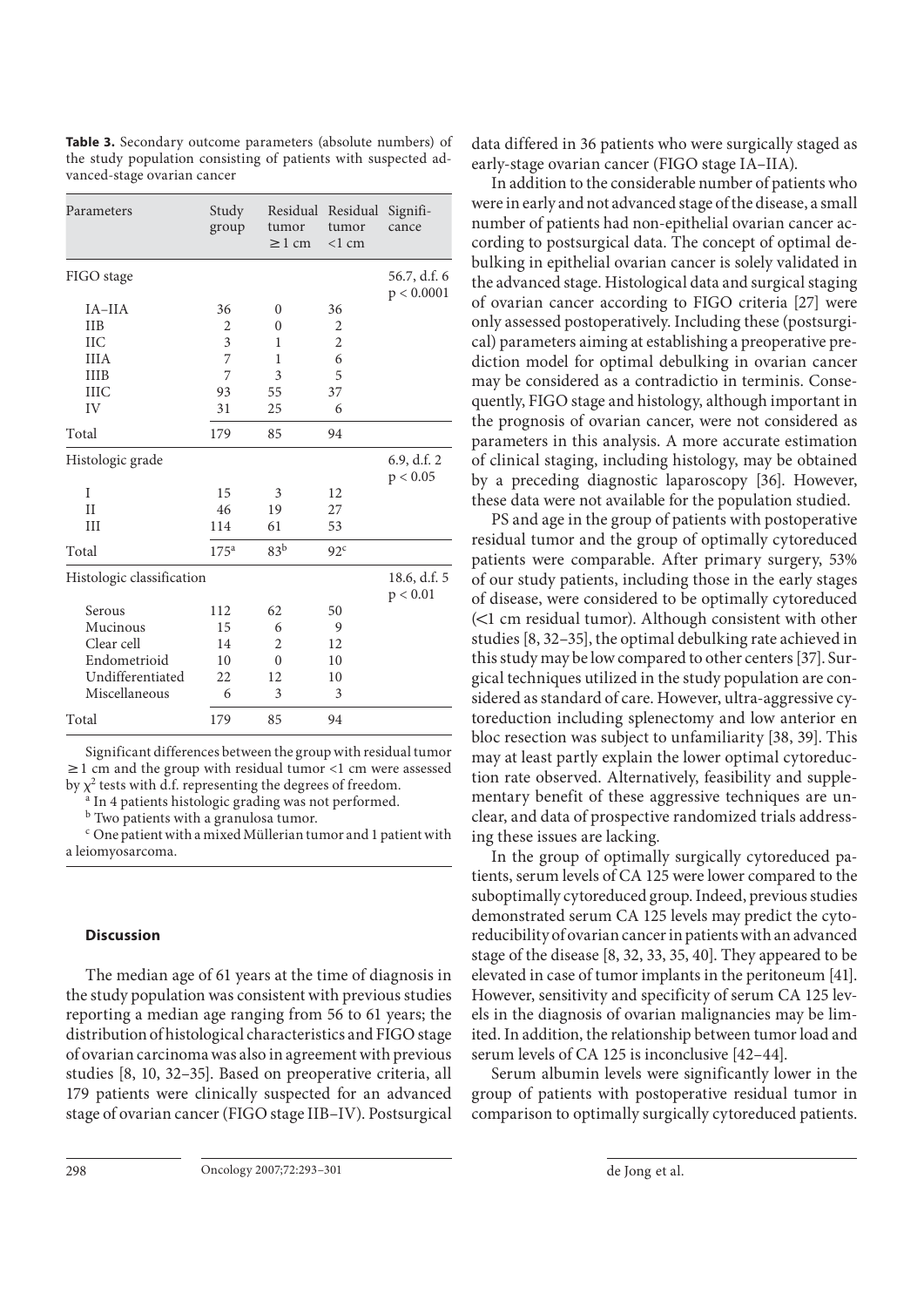| Parameters                | Study<br>group           | tumor<br>$\geq$ 1 cm | Residual Residual<br>tumor<br>$<1$ cm | Signifi-<br>cance          |
|---------------------------|--------------------------|----------------------|---------------------------------------|----------------------------|
| FIGO stage                |                          |                      |                                       | 56.7, d.f. 6<br>p < 0.0001 |
| IA-IIA                    | 36                       | $\theta$             | 36                                    |                            |
| <b>IIB</b>                | 2                        | $\theta$             | 2                                     |                            |
| <b>IIC</b>                | 3                        | 1                    | $\overline{c}$                        |                            |
| <b>IIIA</b>               | 7                        | $\mathbf{1}$         | 6                                     |                            |
| <b>IIIB</b>               | 7                        | 3                    | 5                                     |                            |
| <b>IIIC</b>               | 93                       | 55                   | 37                                    |                            |
| IV                        | 31                       | 25                   | 6                                     |                            |
| Total                     | 179                      | 85                   | 94                                    |                            |
| Histologic grade          |                          |                      |                                       | 6.9, d.f. 2<br>p < 0.05    |
| I                         | 15                       | 3                    | 12                                    |                            |
| II                        | 46                       | 19                   | 27                                    |                            |
| III                       | 114                      | 61                   | 53                                    |                            |
| Total                     | $175^{\rm a}$            | 83 <sup>b</sup>      | 92 <sup>c</sup>                       |                            |
| Histologic classification | 18.6, d.f. 5<br>p < 0.01 |                      |                                       |                            |
| Serous                    | 112                      | 62                   | 50                                    |                            |
| Mucinous                  | 15                       | 6                    | 9                                     |                            |
| Clear cell                | 14                       | 2                    | 12                                    |                            |
| Endometrioid              | 10                       | $\theta$             | 10                                    |                            |
| Undifferentiated          | 22                       | 12                   | 10                                    |                            |
| Miscellaneous             | 6                        | 3                    | 3                                     |                            |
| Total                     | 179                      | 85                   | 94                                    |                            |

**Table 3.** Secondary outcome parameters (absolute numbers) of the study population consisting of patients with suspected advanced-stage ovarian cancer

Significant differences between the group with residual tumor  $\geq$  1 cm and the group with residual tumor <1 cm were assessed by  $\chi^2$  tests with d.f. representing the degrees of freedom.

a In 4 patients histologic grading was not performed.

b Two patients with a granulosa tumor.

c One patient with a mixed Müllerian tumor and 1 patient with a leiomyosarcoma.

#### **Discussion**

 The median age of 61 years at the time of diagnosis in the study population was consistent with previous studies reporting a median age ranging from 56 to 61 years; the distribution of histological characteristics and FIGO stage of ovarian carcinoma was also in agreement with previous studies [8, 10, 32–35] . Based on preoperative criteria, all 179 patients were clinically suspected for an advanced stage of ovarian cancer (FIGO stage IIB–IV). Postsurgical data differed in 36 patients who were surgically staged as early-stage ovarian cancer (FIGO stage IA–IIA).

 In addition to the considerable number of patients who were in early and not advanced stage of the disease, a small number of patients had non-epithelial ovarian cancer according to postsurgical data. The concept of optimal debulking in epithelial ovarian cancer is solely validated in the advanced stage. Histological data and surgical staging of ovarian cancer according to FIGO criteria [27] were only assessed postoperatively. Including these (postsurgical) parameters aiming at establishing a preoperative prediction model for optimal debulking in ovarian cancer may be considered as a contradictio in terminis. Consequently, FIGO stage and histology, although important in the prognosis of ovarian cancer, were not considered as parameters in this analysis. A more accurate estimation of clinical staging, including histology, may be obtained by a preceding diagnostic laparoscopy [36]. However, these data were not available for the population studied.

 PS and age in the group of patients with postoperative residual tumor and the group of optimally cytoreduced patients were comparable. After primary surgery, 53% of our study patients, including those in the early stages of disease, were considered to be optimally cytoreduced  $\leq 1$  cm residual tumor). Although consistent with other studies [8, 32–35] , the optimal debulking rate achieved in this study may be low compared to other centers [37] . Surgical techniques utilized in the study population are considered as standard of care. However, ultra-aggressive cytoreduction including splenectomy and low anterior en bloc resection was subject to unfamiliarity [38, 39]. This may at least partly explain the lower optimal cytoreduction rate observed. Alternatively, feasibility and supplementary benefit of these aggressive techniques are unclear, and data of prospective randomized trials addressing these issues are lacking.

 In the group of optimally surgically cytoreduced patients, serum levels of CA 125 were lower compared to the suboptimally cytoreduced group. Indeed, previous studies demonstrated serum CA 125 levels may predict the cytoreducibility of ovarian cancer in patients with an advanced stage of the disease [8, 32, 33, 35, 40] . They appeared to be elevated in case of tumor implants in the peritoneum [41] . However, sensitivity and specificity of serum CA 125 levels in the diagnosis of ovarian malignancies may be limited. In addition, the relationship between tumor load and serum levels of CA 125 is inconclusive [42–44] .

 Serum albumin levels were significantly lower in the group of patients with postoperative residual tumor in comparison to optimally surgically cytoreduced patients.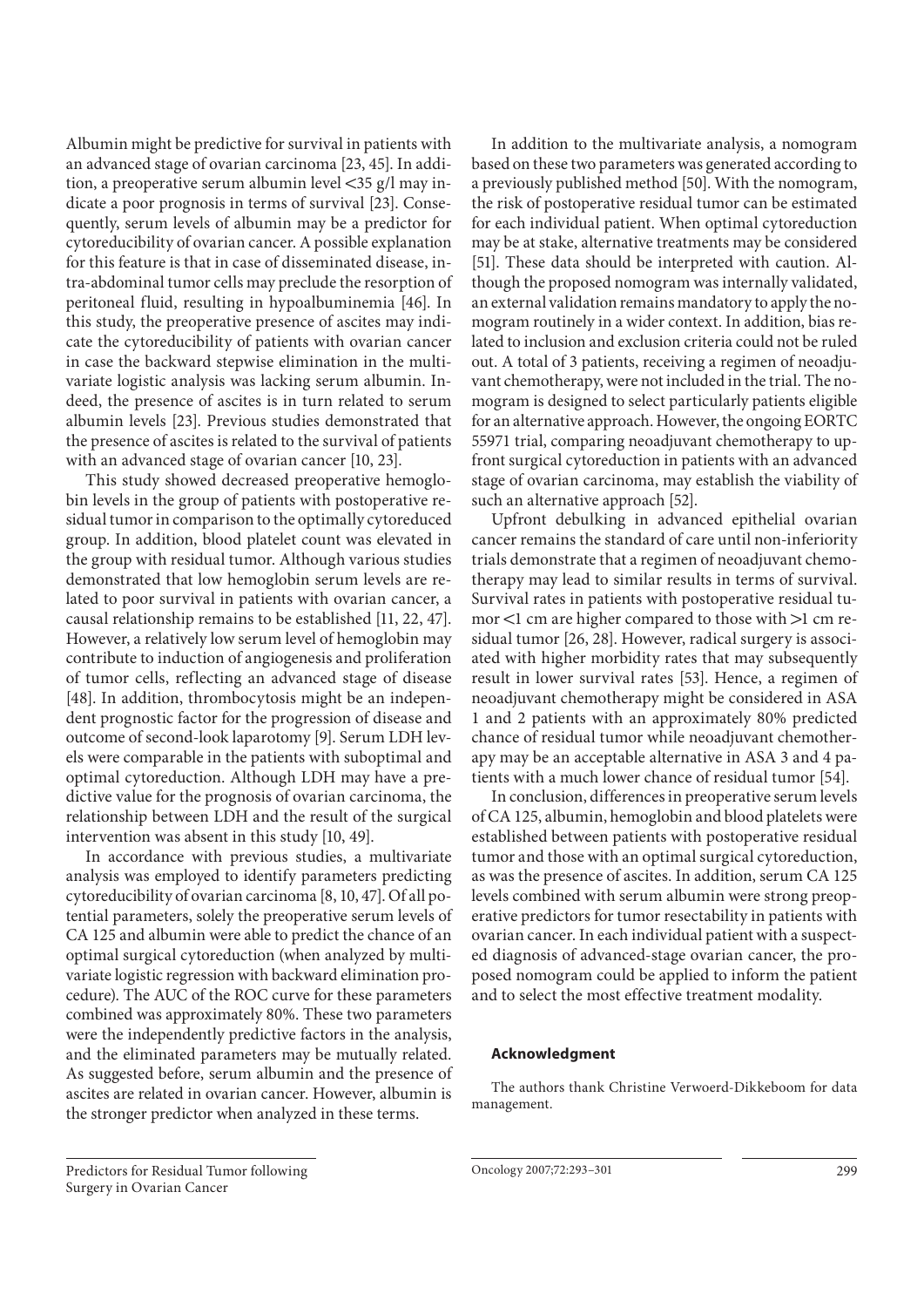Albumin might be predictive for survival in patients with an advanced stage of ovarian carcinoma [23, 45] . In addition, a preoperative serum albumin level  $\langle 35 \text{ g}/l$  may indicate a poor prognosis in terms of survival [23]. Consequently, serum levels of albumin may be a predictor for cytoreducibility of ovarian cancer. A possible explanation for this feature is that in case of disseminated disease, intra-abdominal tumor cells may preclude the resorption of peritoneal fluid, resulting in hypoalbuminemia [46]. In this study, the preoperative presence of ascites may indicate the cytoreducibility of patients with ovarian cancer in case the backward stepwise elimination in the multivariate logistic analysis was lacking serum albumin. Indeed, the presence of ascites is in turn related to serum albumin levels [23]. Previous studies demonstrated that the presence of ascites is related to the survival of patients with an advanced stage of ovarian cancer [10, 23].

 This study showed decreased preoperative hemoglobin levels in the group of patients with postoperative residual tumor in comparison to the optimally cytoreduced group. In addition, blood platelet count was elevated in the group with residual tumor. Although various studies demonstrated that low hemoglobin serum levels are related to poor survival in patients with ovarian cancer, a causal relationship remains to be established [11, 22, 47] . However, a relatively low serum level of hemoglobin may contribute to induction of angiogenesis and proliferation of tumor cells, reflecting an advanced stage of disease [48]. In addition, thrombocytosis might be an independent prognostic factor for the progression of disease and outcome of second-look laparotomy [9]. Serum LDH levels were comparable in the patients with suboptimal and optimal cytoreduction. Although LDH may have a predictive value for the prognosis of ovarian carcinoma, the relationship between LDH and the result of the surgical intervention was absent in this study [10, 49].

 In accordance with previous studies, a multivariate analysis was employed to identify parameters predicting cytoreducibility of ovarian carcinoma [8, 10, 47] . Of all potential parameters, solely the preoperative serum levels of CA 125 and albumin were able to predict the chance of an optimal surgical cytoreduction (when analyzed by multivariate logistic regression with backward elimination procedure). The AUC of the ROC curve for these parameters combined was approximately 80%. These two parameters were the independently predictive factors in the analysis, and the eliminated parameters may be mutually related. As suggested before, serum albumin and the presence of ascites are related in ovarian cancer. However, albumin is the stronger predictor when analyzed in these terms.

 In addition to the multivariate analysis, a nomogram based on these two parameters was generated according to a previously published method [50]. With the nomogram, the risk of postoperative residual tumor can be estimated for each individual patient. When optimal cytoreduction may be at stake, alternative treatments may be considered [51]. These data should be interpreted with caution. Although the proposed nomogram was internally validated, an external validation remains mandatory to apply the nomogram routinely in a wider context. In addition, bias related to inclusion and exclusion criteria could not be ruled out. A total of 3 patients, receiving a regimen of neoadjuvant chemotherapy, were not included in the trial. The nomogram is designed to select particularly patients eligible for an alternative approach. However, the ongoing EORTC 55971 trial, comparing neoadjuvant chemotherapy to upfront surgical cytoreduction in patients with an advanced stage of ovarian carcinoma, may establish the viability of such an alternative approach [52].

 Upfront debulking in advanced epithelial ovarian cancer remains the standard of care until non-inferiority trials demonstrate that a regimen of neoadjuvant chemotherapy may lead to similar results in terms of survival. Survival rates in patients with postoperative residual tumor  $<$ 1 cm are higher compared to those with  $>$ 1 cm residual tumor [26, 28]. However, radical surgery is associated with higher morbidity rates that may subsequently result in lower survival rates [53]. Hence, a regimen of neoadjuvant chemotherapy might be considered in ASA 1 and 2 patients with an approximately 80% predicted chance of residual tumor while neoadjuvant chemotherapy may be an acceptable alternative in ASA 3 and 4 patients with a much lower chance of residual tumor [54] .

 In conclusion, differences in preoperative serum levels of CA 125, albumin, hemoglobin and blood platelets were established between patients with postoperative residual tumor and those with an optimal surgical cytoreduction, as was the presence of ascites. In addition, serum CA 125 levels combined with serum albumin were strong preoperative predictors for tumor resectability in patients with ovarian cancer. In each individual patient with a suspected diagnosis of advanced-stage ovarian cancer, the proposed nomogram could be applied to inform the patient and to select the most effective treatment modality.

#### **Acknowledgment**

 The authors thank Christine Verwoerd-Dikkeboom for data management.

Predictors for Residual Tumor following Surgery in Ovarian Cancer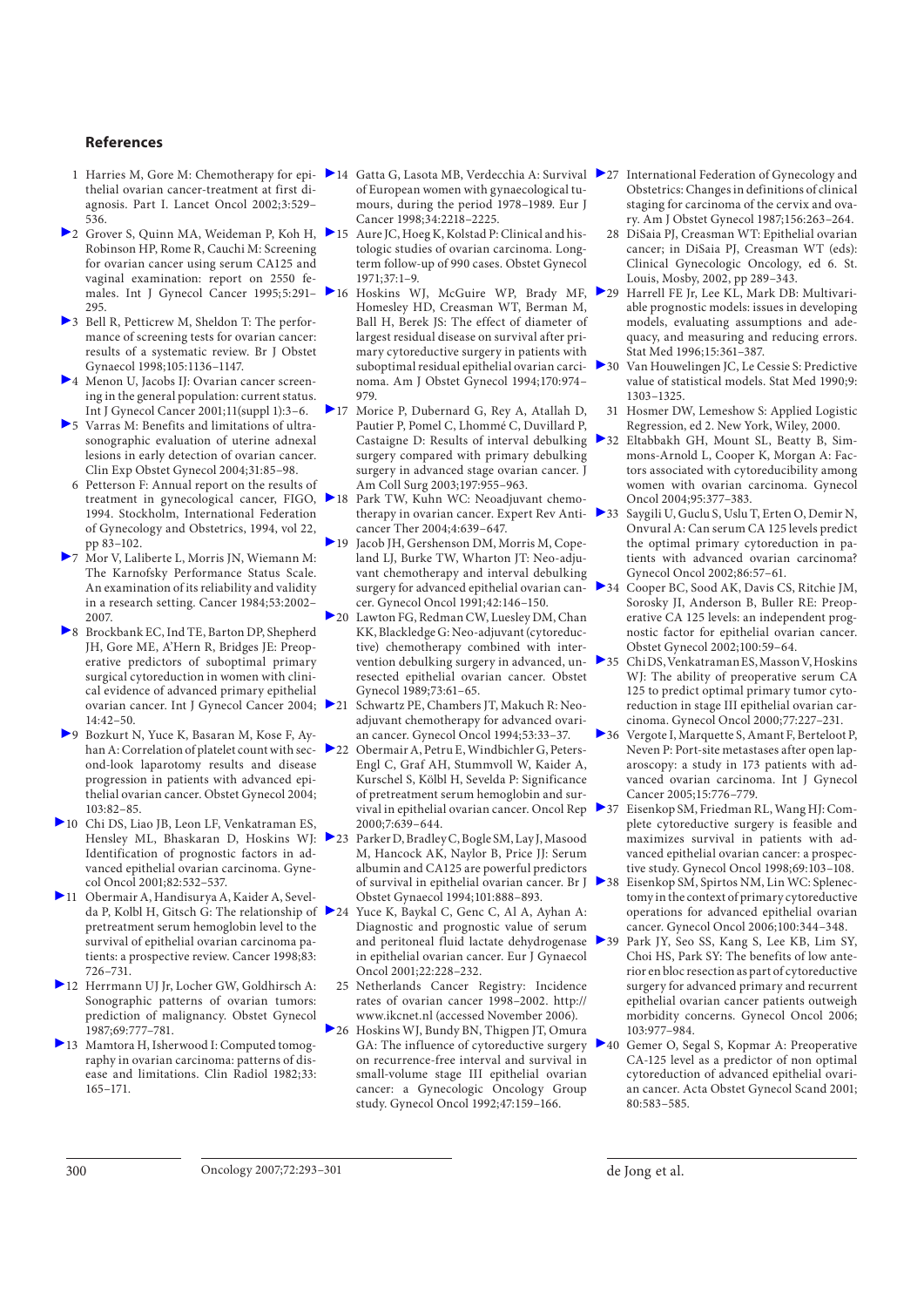#### **References**

- thelial ovarian cancer-treatment at first diagnosis. Part I. Lancet Oncol 2002;3:529– 536.
- >2 Grover S, Quinn MA, Weideman P, Koh H, →15 Aure JC, Hoeg K, Kolstad P: Clinical and his-Robinson HP, Rome R, Cauchi M: Screening for ovarian cancer using serum CA125 and vaginal examination: report on 2550 fe-295.
- 3 Bell R, Petticrew M, Sheldon T: The performance of screening tests for ovarian cancer: results of a systematic review. Br J Obstet Gynaecol 1998;105:1136–1147.
- 4 Menon U, Jacobs IJ: Ovarian cancer screening in the general population: current status. Int J Gynecol Cancer 2001;11(suppl 1):3–6.
- 5 Varras M: Benefits and limitations of ultrasonographic evaluation of uterine adnexal lesions in early detection of ovarian cancer. Clin Exp Obstet Gynecol 2004;31:85–98.
- 6 Petterson F: Annual report on the results of treatment in gynecological cancer, FIGO, 1994. Stockholm, International Federation of Gynecology and Obstetrics, 1994, vol 22, pp 83–102.
- 7 Mor V, Laliberte L, Morris JN, Wiemann M: The Karnofsky Performance Status Scale. An examination of its reliability and validity in a research setting. Cancer 1984;53:2002– 2007.
- 8 Brockbank EC, Ind TE, Barton DP, Shepherd JH, Gore ME, A'Hern R, Bridges JE: Preoperative predictors of suboptimal primary surgical cytoreduction in women with clinical evidence of advanced primary epithelial ovarian cancer. Int J Gynecol Cancer 2004; 21 14:42–50.
- 9 Bozkurt N, Yuce K, Basaran M, Kose F, Ayhan A: Correlation of platelet count with sec- $\geq 22$ ond-look laparotomy results and disease progression in patients with advanced epithelial ovarian cancer. Obstet Gynecol 2004; 103:82–85.
- 10 Chi DS, Liao JB, Leon LF, Venkatraman ES, Hensley ML, Bhaskaran D, Hoskins WJ: 23 Identification of prognostic factors in advanced epithelial ovarian carcinoma. Gynecol Oncol 2001;82:532–537.
- 11 Obermair A, Handisurya A, Kaider A, Sevelda P, Kolbl H, Gitsch G: The relationship of  $\geq 24$ pretreatment serum hemoglobin level to the survival of epithelial ovarian carcinoma patients: a prospective review. Cancer 1998;83: 726–731.
- 12 Herrmann UJ Jr, Locher GW, Goldhirsch A: Sonographic patterns of ovarian tumors: prediction of malignancy. Obstet Gynecol 1987;69:777–781.
- 13 Mamtora H, Isherwood I: Computed tomography in ovarian carcinoma: patterns of disease and limitations. Clin Radiol 1982;33: 165–171.
- 1 Harries M, Gore M: Chemotherapy for epi- > 14 Gatta G, Lasota MB, Verdecchia A: Survival > 27 International Federation of Gynecology and of European women with gynaecological tumours, during the period 1978–1989. Eur J Cancer 1998;34:2218–2225.
	- tologic studies of ovarian carcinoma. Longterm follow-up of 990 cases. Obstet Gynecol 1971;37:1–9.
	- males. Int J Gynecol Cancer 1995;5:291– 16 Hoskins WJ, McGuire WP, Brady MF, Homesley HD, Creasman WT, Berman M, Ball H, Berek JS: The effect of diameter of largest residual disease on survival after primary cytoreductive surgery in patients with suboptimal residual epithelial ovarian carcinoma. Am J Obstet Gynecol 1994;170:974– 979.
		- 17 Morice P, Dubernard G, Rey A, Atallah D, Pautier P, Pomel C, Lhommé C, Duvillard P, surgery compared with primary debulking surgery in advanced stage ovarian cancer. J Am Coll Surg 2003;197:955–963.
		- 18 Park TW, Kuhn WC: Neoadjuvant chemotherapy in ovarian cancer. Expert Rev Anticancer Ther 2004;4:639–647.
		- 19 Jacob JH, Gershenson DM, Morris M, Copeland LJ, Burke TW, Wharton JT: Neo-adjuvant chemotherapy and interval debulking surgery for advanced epithelial ovarian cancer. Gynecol Oncol 1991;42:146–150.
		- 20 Lawton FG, Redman CW, Luesley DM, Chan KK, Blackledge G: Neo-adjuvant (cytoreductive) chemotherapy combined with intervention debulking surgery in advanced, unresected epithelial ovarian cancer. Obstet Gynecol 1989;73:61–65.
			- Schwartz PE, Chambers JT, Makuch R: Neoadjuvant chemotherapy for advanced ovarian cancer. Gynecol Oncol 1994;53:33–37.
		- 22 Obermair A, Petru E, Windbichler G, Peters-Engl C, Graf AH, Stummvoll W, Kaider A, Kurschel S, Kölbl H, Sevelda P: Significance of pretreatment serum hemoglobin and survival in epithelial ovarian cancer. Oncol Rep > 37 2000;7:639–644.
		- Parker D, Bradley C, Bogle SM, Lay J, Masood M, Hancock AK, Naylor B, Price JJ: Serum albumin and CA125 are powerful predictors Obstet Gynaecol 1994;101:888–893.
		- Yuce K, Baykal C, Genc C, Al A, Ayhan A: Diagnostic and prognostic value of serum and peritoneal fluid lactate dehydrogenase in epithelial ovarian cancer. Eur J Gynaecol Oncol 2001;22:228–232.
		- 25 Netherlands Cancer Registry: Incidence rates of ovarian cancer 1998–2002. http:// www.ikcnet.nl (accessed November 2006).
		- 26 Hoskins WJ, Bundy BN, Thigpen JT, Omura GA: The influence of cytoreductive surgery on recurrence-free interval and survival in small-volume stage III epithelial ovarian cancer: a Gynecologic Oncology Group study. Gynecol Oncol 1992;47:159–166.
- Obstetrics: Changes in definitions of clinical staging for carcinoma of the cervix and ovary. Am J Obstet Gynecol 1987;156:263–264.
- 28 DiSaia PJ, Creasman WT: Epithelial ovarian cancer; in DiSaia PJ, Creasman WT (eds): Clinical Gynecologic Oncology, ed 6. St. Louis, Mosby, 2002, pp 289–343.
- Harrell FE Ir, Lee KL, Mark DB: Multivariable prognostic models: issues in developing models, evaluating assumptions and adequacy, and measuring and reducing errors. Stat Med 1996;15:361–387.
- 30 Van Houwelingen JC, Le Cessie S: Predictive value of statistical models. Stat Med 1990;9: 1303–1325.
	- 31 Hosmer DW, Lemeshow S: Applied Logistic Regression, ed 2. New York, Wiley, 2000.
- Castaigne D: Results of interval debulking 32 Eltabbakh GH, Mount SL, Beatty B, Simmons-Arnold L, Cooper K, Morgan A: Factors associated with cytoreducibility among women with ovarian carcinoma. Gynecol Oncol 2004;95:377–383.
	- Saygili U, Guclu S, Uslu T, Erten O, Demir N, Onvural A: Can serum CA 125 levels predict the optimal primary cytoreduction in patients with advanced ovarian carcinoma? Gynecol Oncol 2002;86:57–61.
	- 34 Cooper BC, Sood AK, Davis CS, Ritchie JM, Sorosky JI, Anderson B, Buller RE: Preoperative CA 125 levels: an independent prognostic factor for epithelial ovarian cancer. Obstet Gynecol 2002;100:59–64.
	- 35 Chi DS, Venkatraman ES, Masson V, Hoskins WJ: The ability of preoperative serum CA 125 to predict optimal primary tumor cytoreduction in stage III epithelial ovarian carcinoma. Gynecol Oncol 2000;77:227–231.
	- 36 Vergote I, Marquette S, Amant F, Berteloot P, Neven P: Port-site metastases after open laparoscopy: a study in 173 patients with advanced ovarian carcinoma. Int J Gynecol Cancer 2005;15:776–779.
	- 37 Eisenkop SM, Friedman RL, Wang HJ: Complete cytoreductive surgery is feasible and maximizes survival in patients with advanced epithelial ovarian cancer: a prospective study. Gynecol Oncol 1998;69:103–108.
- of survival in epithelial ovarian cancer. Br J 38 Eisenkop SM, Spirtos NM, Lin WC: Splenectomy in the context of primary cytoreductive operations for advanced epithelial ovarian cancer. Gynecol Oncol 2006;100:344–348.
	- 39 Park JY, Seo SS, Kang S, Lee KB, Lim SY, Choi HS, Park SY: The benefits of low anterior en bloc resection as part of cytoreductive surgery for advanced primary and recurrent epithelial ovarian cancer patients outweigh morbidity concerns. Gynecol Oncol 2006; 103:977–984.
	- 40 Gemer O, Segal S, Kopmar A: Preoperative CA-125 level as a predictor of non optimal cytoreduction of advanced epithelial ovarian cancer. Acta Obstet Gynecol Scand 2001; 80:583–585.